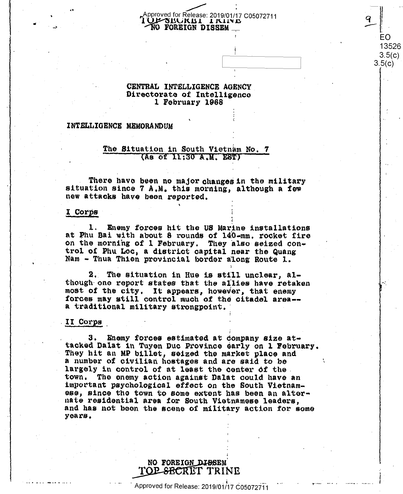#### Approved for Release: 2019/01/17 C05072711 JE SECKET I KINE NO FOREIGN DISSEM

EO 13526  $3.5(c)$  $3.5(c)$ 

#### CENTRAL INTELLIGENCE AGENCY Directorate of Intelligence 1 February 1968

#### INTELLIGENCE MEMORANDUM

#### The Situation in South Vietnam No. 7 (As of 11:30 A.M. EST)

There have been no major changes in the military situation since 7 A.M. this morning, although a few new attacks have been reported.

#### I Corps

1. Enemy forces hit the US Marine installations at Phu Bai with about 8 rounds of 140-mm. rocket fire on the morning of 1 February. They also seized control of Phu Loc, a district capital near the Quang Nam - Thua Thien provincial border along Route 1.

2. The situation in Hue is still unclear, although one report states that the allies have retaken most of the city. It appears, however, that enemy forces may still control much of the citadel area-a traditional military strongpoint.

#### II Corps

3. Enemy forces estimated at company size attacked Dalat in Tuyen Duc Province early on 1 February. They hit an MP billet, seized the market place and a number of civilian hostages and are said to be largely in control of at least the center of the. town. The enemy action against Dalat could have an important psychological effect on the South Vietnamess, since the town to some extent has been an alternate residential area for South Vietnamese leaders, and has not been the scene of military action for some years.

### NO FOREIGN DISSEM TOP-SECRET TRINE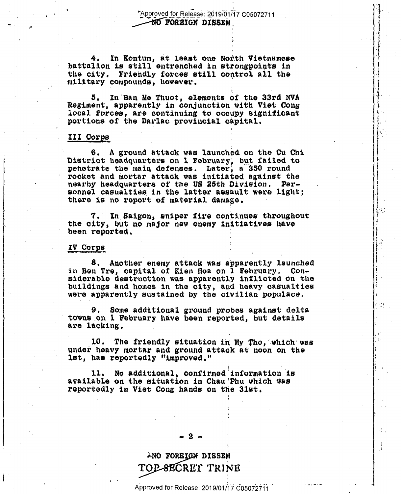Approved for Release: 2019/01/17 C05072711 **NO FOREIGN DISSEM** 

In Kontum, at least one North Vietnamese 4. battalion is still entrenched in strongpoints in the city. Friendly forces still control all the military compounds, however.

In Ban Me Thuot, elements of the 33rd NVA 5. Regiment, apparently in conjunction with Viet Cong local forces, are continuing to occupy significant portions of the Darlac provincial capital.

#### III Corps

6. A ground attack was launched on the Cu Chi District headquarters on 1 February, but failed to pehetrate the main defenses. Later, a 350 round rocket and mortar attack was initiated against the nearby headquarters of the US 25th Division. Personnel casualties in the latter assault were light; there is no report of material damage.

In Saigon, sniper fire continues throughout 7. the city, but no major new enemy initiatives have been reported.

#### IV Corps

8. Another enemy attack was apparently launched in Ben Tre, capital of Kien Hoa on I February. Considerable destruction was apparently inflicted on the buildings and homes in the city, and heavy casualties were apparently sustained by the civilian populace.

Some additional ground probes against delta 9. towns on 1 February have been reported, but details are lacking.

 $10.$ The friendly situation in My Tho, which was under heavy mortar and ground attack at noon on the lst, has reportedly "improved."

No additional, confirmed information is ll. available on the situation in Chau'Phu which was reportedly in Viet Cong hands on the 31st.

. 2 -

# ANO FOREIGN DISSEM TOP-SECRET TRINE

Approved for Release: 2019/01/17 C05072711